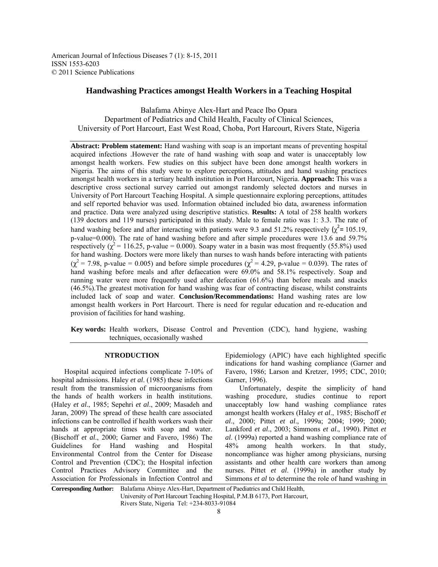American Journal of Infectious Diseases 7 (1): 8-15, 2011 ISSN 1553-6203 © 2011 Science Publications

# **Handwashing Practices amongst Health Workers in a Teaching Hospital**

Balafama Abinye Alex-Hart and Peace Ibo Opara Department of Pediatrics and Child Health, Faculty of Clinical Sciences, University of Port Harcourt, East West Road, Choba, Port Harcourt, Rivers State, Nigeria

**Abstract: Problem statement:** Hand washing with soap is an important means of preventing hospital acquired infections .However the rate of hand washing with soap and water is unacceptably low amongst health workers. Few studies on this subject have been done amongst health workers in Nigeria. The aims of this study were to explore perceptions, attitudes and hand washing practices amongst health workers in a tertiary health institution in Port Harcourt, Nigeria. **Approach:** This was a descriptive cross sectional survey carried out amongst randomly selected doctors and nurses in University of Port Harcourt Teaching Hospital. A simple questionnaire exploring perceptions, attitudes and self reported behavior was used. Information obtained included bio data, awareness information and practice. Data were analyzed using descriptive statistics. **Results:** A total of 258 health workers (139 doctors and 119 nurses) participated in this study. Male to female ratio was 1: 3.3. The rate of hand washing before and after interacting with patients were 9.3 and 51.2% respectively  $(\chi^2 = 105.19,$ p-value=0.000). The rate of hand washing before and after simple procedures were 13.6 and 59.7% respectively ( $\chi^2$  = 116.25, p-value = 0.000). Soapy water in a basin was most frequently (55.8%) used for hand washing. Doctors were more likely than nurses to wash hands before interacting with patients  $(\chi^2 = 7.98, \text{ p-value} = 0.005)$  and before simple procedures  $(\chi^2 = 4.29, \text{ p-value} = 0.039)$ . The rates of hand washing before meals and after defaecation were 69.0% and 58.1% respectively. Soap and running water were more frequently used after defecation (61.6%) than before meals and snacks (46.5%).The greatest motivation for hand washing was fear of contracting disease, whilst constraints included lack of soap and water. **Conclusion/Recommendations:** Hand washing rates are low amongst health workers in Port Harcourt. There is need for regular education and re-education and provision of facilities for hand washing.

**Key words:** Health workers, Disease Control and Prevention (CDC), hand hygiene, washing techniques, occasionally washed

# **NTRODUCTION**

 Hospital acquired infections complicate 7-10% of hospital admissions. Haley *et al*. (1985) these infections result from the transmission of microorganisms from the hands of health workers in health institutions. (Haley *et al*., 1985; Sepehri *et al*., 2009; Masadeh and Jaran, 2009) The spread of these health care associated infections can be controlled if health workers wash their hands at appropriate times with soap and water. (Bischoff *et al*., 2000; Garner and Favero, 1986) The Guidelines for Hand washing and Hospital Environmental Control from the Center for Disease Control and Prevention (CDC); the Hospital infection Control Practices Advisory Committee and the Association for Professionals in Infection Control and Epidemiology (APIC) have each highlighted specific indications for hand washing compliance (Garner and Favero, 1986; Larson and Kretzer, 1995; CDC, 2010; Garner, 1996).

 Unfortunately, despite the simplicity of hand washing procedure, studies continue to report unacceptably low hand washing compliance rates amongst health workers (Haley *et al*., 1985; Bischoff *et al*., 2000; Pittet *et al*., 1999a; 2004; 1999; 2000; Lankford *et al*., 2003; Simmons *et al*., 1990). Pittet *et al*. (1999a) reported a hand washing compliance rate of 48% among health workers. In that study, noncompliance was higher among physicians, nursing assistants and other health care workers than among nurses. Pittet *et al*. (1999a) in another study by Simmons *et al* to determine the role of hand washing in

**Corresponding Author:** Balafama Abinye Alex-Hart, Department of Paediatrics and Child Health, University of Port Harcourt Teaching Hospital, P.M.B 6173, Port Harcourt, Rivers State, Nigeria Tel: +234-8033-91084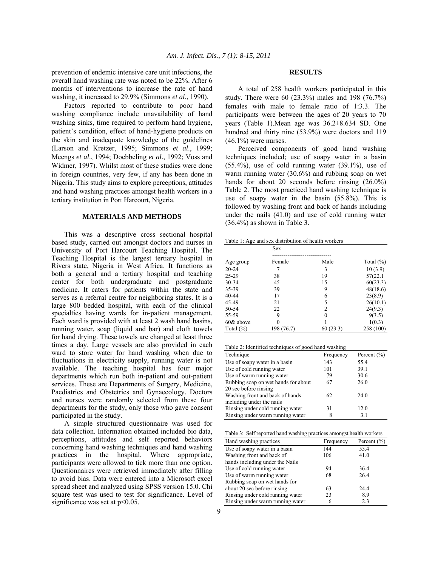prevention of endemic intensive care unit infections, the overall hand washing rate was noted to be 22%. After 6 months of interventions to increase the rate of hand washing, it increased to 29.9% (Simmons *et al*., 1990).

 Factors reported to contribute to poor hand washing compliance include unavailability of hand washing sinks, time required to perform hand hygiene, patient's condition, effect of hand-hygiene products on the skin and inadequate knowledge of the guidelines (Larson and Kretzer, 1995; Simmons *et al*., 1999; Meengs *et al*., 1994; Doebbeling *et al*., 1992; Voss and Widmer, 1997). Whilst most of these studies were done in foreign countries, very few, if any has been done in Nigeria. This study aims to explore perceptions, attitudes and hand washing practices amongst health workers in a tertiary institution in Port Harcourt, Nigeria.

# **MATERIALS AND METHODS**

 This was a descriptive cross sectional hospital based study, carried out amongst doctors and nurses in University of Port Harcourt Teaching Hospital. The Teaching Hospital is the largest tertiary hospital in Rivers state, Nigeria in West Africa. It functions as both a general and a tertiary hospital and teaching center for both undergraduate and postgraduate medicine. It caters for patients within the state and serves as a referral centre for neighboring states. It is a large 800 bedded hospital, with each of the clinical specialties having wards for in-patient management. Each ward is provided with at least 2 wash hand basins, running water, soap (liquid and bar) and cloth towels for hand drying. These towels are changed at least three times a day. Large vessels are also provided in each ward to store water for hand washing when due to fluctuations in electricity supply, running water is not available. The teaching hospital has four major departments which run both in-patient and out-patient services. These are Departments of Surgery, Medicine, Paediatrics and Obstetrics and Gynaecology. Doctors and nurses were randomly selected from these four departments for the study, only those who gave consent participated in the study.

 A simple structured questionnaire was used for data collection. Information obtained included bio data, perceptions, attitudes and self reported behaviors concerning hand washing techniques and hand washing practices in the hospital. Where appropriate, participants were allowed to tick more than one option. Questionnaires were retrieved immediately after filling to avoid bias. Data were entered into a Microsoft excel spread sheet and analyzed using SPSS version 15.0. Chi square test was used to test for significance. Level of significance was set at  $p<0.05$ .

#### **RESULTS**

 A total of 258 health workers participated in this study. There were 60 (23.3%) males and 198 (76.7%) females with male to female ratio of 1:3.3. The participants were between the ages of 20 years to 70 years (Table 1).Mean age was 36.2±8.634 SD. One hundred and thirty nine (53.9%) were doctors and 119  $(46.1\%)$  were nurses.

 Perceived components of good hand washing techniques included; use of soapy water in a basin  $(55.4\%)$ , use of cold running water  $(39.1\%)$ , use of warm running water (30.6%) and rubbing soap on wet hands for about 20 seconds before rinsing  $(26.0\%)$ Table 2. The most practiced hand washing technique is use of soapy water in the basin (55.8%). This is followed by washing front and back of hands including under the nails (41.0) and use of cold running water (36.4%) as shown in Table 3.

| Table 1: Age and sex distribution of health workers |  |  |  |
|-----------------------------------------------------|--|--|--|
|-----------------------------------------------------|--|--|--|

|               | <b>Sex</b> |                |               |
|---------------|------------|----------------|---------------|
| Age group     | Female     | Male           | Total $(\% )$ |
| $20 - 24$     |            | 3              | 10(3.9)       |
| 25-29         | 38         | 19             | 57(22.1       |
| $30 - 34$     | 45         | 15             | 60(23.3)      |
| 35-39         | 39         | 9              | 48(18.6)      |
| $40 - 44$     | 17         | 6              | 23(8.9)       |
| 45-49         | 21         | 5              | 26(10.1)      |
| 50-54         | 22         | $\overline{2}$ | 24(9.3)       |
| 55-59         | 9          | 0              | 9(3.5)        |
| 60& above     | 0          |                | 1(0.3)        |
| Total $(\% )$ | 198 (76.7) | 60(23.3)       | 258 (100)     |

|  |  | Table 2: Identified techniques of good hand washing |
|--|--|-----------------------------------------------------|
|  |  |                                                     |

| Technique                           | Frequency | Percent $(\% )$ |
|-------------------------------------|-----------|-----------------|
| Use of soapy water in a basin       | 143       | 55.4            |
| Use of cold running water           | 101       | 39.1            |
| Use of warm running water           | 79        | 30.6            |
| Rubbing soap on wet hands for about | 67        | 26.0            |
| 20 sec before rinsing               |           |                 |
| Washing front and back of hands     | 62        | 24.0            |
| including under the nails           |           |                 |
| Rinsing under cold running water    | 31        | 12.0            |
| Rinsing under warm running water    | 8         | 3.1             |

Table 3: Self reported hand washing practices amongst health workers

| Hand washing practices           | Frequency | Percent $(\% )$ |
|----------------------------------|-----------|-----------------|
| Use of soapy water in a basin    | 144       | 55.4            |
| Washing front and back of        | 106       | 41.0            |
| hands including under the Nails  |           |                 |
| Use of cold running water        | 94        | 36.4            |
| Use of warm running water        | 68        | 26.4            |
| Rubbing soap on wet hands for    |           |                 |
| about 20 sec before rinsing      | 63        | 24.4            |
| Rinsing under cold running water | 23        | 8.9             |
| Rinsing under warm running water | 6         | 2.3             |
|                                  |           |                 |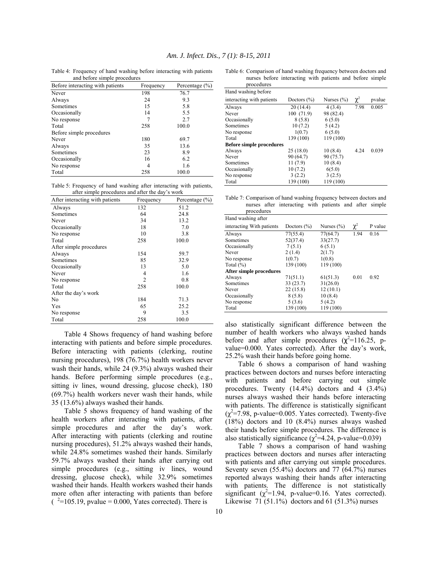Table 4: Frequency of hand washing before interacting with patients and before simple procedures

Before interacting with patients Frequency Percentage (%) Never 198 76.7 Always 24 9.3<br>Sometimes 15 5.8 **Sometimes** Occasionally 14 5.5 No response 7 2.7 Total 258 100.0 Before simple procedures Never 180 69.7 Always 35 13.6 Sometimes 23 8.9 Occasionally 16 6.2 No response  $\begin{array}{ccc} 4 & 1.6 \\ 1.6 & 258 \end{array}$  100.0 Total 258 100.0

Table 5: Frequency of hand washing after interacting with patients, after simple procedures and after the day's work

| After interacting with patients | Frequency      | Percentage $(\% )$ |
|---------------------------------|----------------|--------------------|
| Always                          | 132            | 51.2               |
| Sometimes                       | 64             | 24.8               |
| Never                           | 34             | 13.2               |
| Occasionally                    | 18             | 7.0                |
| No response                     | 10             | 3.8                |
| Total                           | 258            | 100.0              |
| After simple procedures         |                |                    |
| Always                          | 154            | 59.7               |
| Sometimes                       | 85             | 32.9               |
| Occasionally                    | 13             | 5.0                |
| Never                           | 4              | 1.6                |
| No response                     | $\overline{c}$ | 0.8                |
| Total                           | 258            | 100.0              |
| After the day's work            |                |                    |
| No                              | 184            | 71.3               |
| Yes                             | 65             | 25.2               |
| No response                     | 9              | 3.5                |
| Total                           | 258            | 100.0              |

 Table 4 Shows frequency of hand washing before interacting with patients and before simple procedures. Before interacting with patients (clerking, routine nursing procedures), 198 (76.7%) health workers never wash their hands, while 24 (9.3%) always washed their hands. Before performing simple procedures (e.g., sitting iv lines, wound dressing, glucose check), 180 (69.7%) health workers never wash their hands, while 35 (13.6%) always washed their hands.

 Table 5 shows frequency of hand washing of the health workers after interacting with patients, after simple procedures and after the day's work. After interacting with patients (clerking and routine nursing procedures), 51.2% always washed their hands, while 24.8% sometimes washed their hands. Similarly 59.7% always washed their hands after carrying out simple procedures (e.g., sitting iv lines, wound dressing, glucose check), while 32.9% sometimes washed their hands. Health workers washed their hands more often after interacting with patients than before  $^{2}$ =105.19, pvalue = 0.000, Yates corrected). There is

nurses before interacting with patients and before simple procedures Hand washing before interacting with patients Doctors (%) Nurses (%)  $\gamma^2$  pvalue Always 20 (14.4) 4 (3.4) 7.98 0.005<br>Never 100 (71.9) 98 (82.4)  $100(71.9)$ Occasionally  $8 (5.8) 6 (5.0)$ Sometimes 10 (7.2) 5 (4.2) No response 1(0.7) 6 (5.0)<br>Total 139 (100) 119 (100) 139 (100) **Before simple procedures**  Always 25 (18.0) 10 (8.4) 4.24 0.039 Never 90 (64.7) 90 (75.7)

Table 6: Comparison of hand washing frequency between doctors and

| Table 7: Comparison of hand washing frequency between doctors and |  |                                                         |  |  |  |
|-------------------------------------------------------------------|--|---------------------------------------------------------|--|--|--|
|                                                                   |  | nurses after interacting with patients and after simple |  |  |  |

| procedures                |                 |                |          |         |
|---------------------------|-----------------|----------------|----------|---------|
| Hand washing after        |                 |                |          |         |
| interacting With patients | Doctors $(\% )$ | Nurses $(\% )$ | $\chi^2$ | P value |
| Always                    | 77(55.4)        | 77(64.7)       | 1.94     | 0.16    |
| Sometimes                 | 52(37.4)        | 33(27.7)       |          |         |
| Occasionally              | 7(5.1)          | 6(5.1)         |          |         |
| Never                     | 2(1.4)          | 2(1.7)         |          |         |
| No response               | 1(0.7)          | 1(0.8)         |          |         |
| Total $(\% )$             | 139 (100)       | 119 (100)      |          |         |
| After simple procedures   |                 |                |          |         |
| Always                    | 71(51.1)        | 61(51.3)       | 0.01     | 0.92    |
| Sometimes                 | 33(23.7)        | 31(26.0)       |          |         |
| Never                     | 22(15.8)        | 12(10.1)       |          |         |
| Occasionally              | 8(5.8)          | 10(8.4)        |          |         |
| No response               | 5(3.6)          | 5(4.2)         |          |         |
| Total                     | 139 (100)       | 119 (100)      |          |         |

also statistically significant difference between the number of health workers who always washed hands before and after simple procedures  $(\chi^2=116.25, p$ value=0.000. Yates corrected). After the day's work, 25.2% wash their hands before going home.

 Table 6 shows a comparison of hand washing practices between doctors and nurses before interacting with patients and before carrying out simple procedures. Twenty (14.4%) doctors and 4 (3.4%) nurses always washed their hands before interacting with patients. The difference is statistically significant  $(\chi^2 = 7.98, \text{ p-value} = 0.005. \text{ Yates corrected})$ . Twenty-five (18%) doctors and 10 (8.4%) nurses always washed their hands before simple procedures. The difference is also statistically significance  $(\chi^2=4.24, \text{ p-value}=0.039)$ 

 Table 7 shows a comparison of hand washing practices between doctors and nurses after interacting with patients and after carrying out simple procedures. Seventy seven (55.4%) doctors and 77 (64.7%) nurses reported always washing their hands after interacting with patients. The difference is not statistically significant  $(\chi^2=1.94, \text{ p-value}=0.16.$  Yates corrected). Likewise 71 (51.1%) doctors and 61 (51.3%) nurses

Sometimes 11 (7.9) 10 (8.4) Occasionally  $10 (7.2)$   $6(5.0)$ 

No response 3 (2.2) 3 (2.5) Total 139 (100) 119 (100)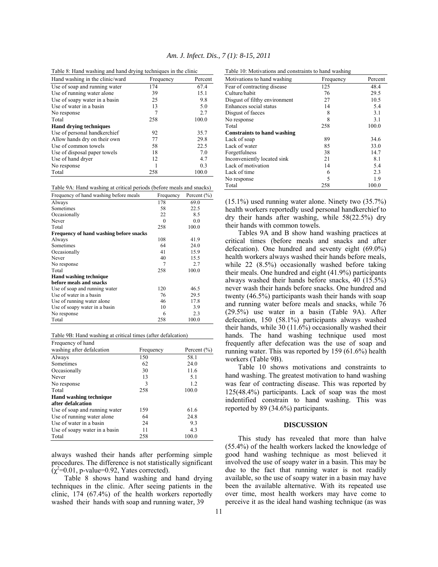|  | Am. J. Infect. Dis., 7 (1): 8-15, 2011 |  |  |  |  |  |
|--|----------------------------------------|--|--|--|--|--|
|--|----------------------------------------|--|--|--|--|--|

Table 8: Hand washing and hand drying techniques in the clinic

| Hand washing in the clinic/ward | Frequency | Percent |
|---------------------------------|-----------|---------|
| Use of soap and running water   | 174       | 67.4    |
| Use of running water alone      | 39        | 15.1    |
| Use of soapy water in a basin   | 25        | 9.8     |
| Use of water in a basin         | 13        | 5.0     |
| No response                     | 7         | 2.7     |
| Total                           | 258       | 100.0   |
| <b>Hand drying techniques</b>   |           |         |
| Use of personal handkerchief    | 92        | 35.7    |
| Allow hands dry on their own    | 77        | 29.8    |
| Use of common towels            | 58        | 22.5    |
| Use of disposal paper towels    | 18        | 7.0     |
| Use of hand dryer               | 12        | 4.7     |
| No response                     |           | 0.3     |
| Total                           | 258       | 100.0   |

Table 9A: Hand washing at critical periods (before meals and snacks)

| Frequency of hand washing before meals  | Frequency | Percent $(\% )$ |
|-----------------------------------------|-----------|-----------------|
| Always                                  | 178       | 69.0            |
| Sometimes                               | 58        | 22.5            |
| Occasionally                            | 22        | 8.5             |
| Never                                   | $\theta$  | 0.0             |
| Total                                   | 258       | 100.0           |
| Frequency of hand washing before snacks |           |                 |
| Always                                  | 108       | 41.9            |
| Sometimes                               | 64        | 24.0            |
| Occasionally                            | 41        | 15.9            |
| Never                                   | 40        | 15.5            |
| No response                             | 7         | 2.7             |
| Total                                   | 258       | 100.0           |
| <b>Hand washing technique</b>           |           |                 |
| before meals and snacks                 |           |                 |
| Use of soap and running water           | 120       | 46.5            |
| Use of water in a basin                 | 76        | 29.5            |
| Use of running water alone              | 46        | 17.8            |
| Use of soapy water in a basin           | 10        | 3.9             |
| No response                             | 6         | 2.3             |
| Total                                   | 258       | 100.0           |

Table 9B: Hand washing at critical times (after defalcation)

| Frequency of hand             |           |                 |
|-------------------------------|-----------|-----------------|
| washing after defalcation     | Frequency | Percent $(\% )$ |
| Always                        | 150       | 58.1            |
| Sometimes                     | 62        | 24.0            |
| Occasionally                  | 30        | 11.6            |
| Never                         | 13        | 5.1             |
| No response                   | 3         | 1.2             |
| Total                         | 258       | 100.0           |
| <b>Hand washing technique</b> |           |                 |
| after defalcation             |           |                 |
| Use of soap and running water | 159       | 61.6            |
| Use of running water alone    | 64        | 24.8            |
| Use of water in a basin       | 24        | 9.3             |
| Use of soapy water in a basin | 11        | 4.3             |
| Total                         | 258       | 100.0           |

always washed their hands after performing simple procedures. The difference is not statistically significant  $(\chi^2=0.01, p-value=0.92, Yates corrected).$ 

 Table 8 shows hand washing and hand drying techniques in the clinic. After seeing patients in the clinic, 174 (67.4%) of the health workers reportedly washed their hands with soap and running water, 39

| Table 10: Motivations and constraints to hand washing |  |  |  |
|-------------------------------------------------------|--|--|--|
|                                                       |  |  |  |

| Motivations to hand washing        | Frequency | Percent |
|------------------------------------|-----------|---------|
| Fear of contracting disease        | 125       | 48.4    |
| Culture/habit                      | 76        | 29.5    |
| Disgust of filthy environment      | 27        | 10.5    |
| Enhances social status             | 14        | 5.4     |
| Disgust of faeces                  | 8         | 3.1     |
| No response                        | 8         | 3.1     |
| Total                              | 258       | 100.0   |
| <b>Constraints to hand washing</b> |           |         |
| Lack of soap                       | 89        | 34.6    |
| Lack of water                      | 85        | 33.0    |
| Forgetfulness                      | 38        | 14.7    |
| Inconveniently located sink        | 21        | 8.1     |
| Lack of motivation                 | 14        | 5.4     |
| Lack of time                       | 6         | 2.3     |
| No response                        | 5         | 1.9     |
| Total                              | 258       | 100.0   |
|                                    |           |         |

(15.1%) used running water alone. Ninety two (35.7%) health workers reportedly used personal handkerchief to dry their hands after washing, while 58(22.5%) dry their hands with common towels.

 Tables 9A and B show hand washing practices at critical times (before meals and snacks and after defecation). One hundred and seventy eight (69.0%) health workers always washed their hands before meals, while 22 (8.5%) occasionally washed before taking their meals. One hundred and eight (41.9%) participants always washed their hands before snacks, 40 (15.5%) never wash their hands before snacks. One hundred and twenty (46.5%) participants wash their hands with soap and running water before meals and snacks, while 76 (29.5%) use water in a basin (Table 9A). After defecation, 150 (58.1%) participants always washed their hands, while 30 (11.6%) occasionally washed their hands. The hand washing technique used most frequently after defecation was the use of soap and running water. This was reported by 159 (61.6%) health workers (Table 9B).

 Table 10 shows motivations and constraints to hand washing. The greatest motivation to hand washing was fear of contracting disease. This was reported by 125(48.4%) participants. Lack of soap was the most indentified constrain to hand washing. This was reported by 89 (34.6%) participants.

### **DISCUSSION**

 This study has revealed that more than halve (55.4%) of the health workers lacked the knowledge of good hand washing technique as most believed it involved the use of soapy water in a basin. This may be due to the fact that running water is not readily available, so the use of soapy water in a basin may have been the available alternative. With its repeated use over time, most health workers may have come to perceive it as the ideal hand washing technique (as was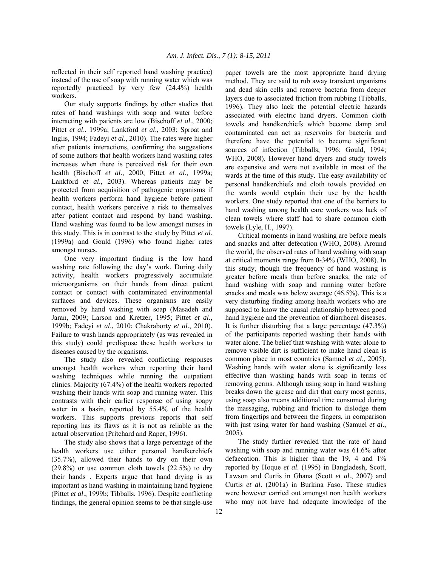reflected in their self reported hand washing practice) instead of the use of soap with running water which was reportedly practiced by very few (24.4%) health workers.

 Our study supports findings by other studies that rates of hand washings with soap and water before interacting with patients are low (Bischoff *et al*., 2000; Pittet *et al*., 1999a; Lankford *et al*., 2003; Sproat and Inglis, 1994; Fadeyi *et al*., 2010). The rates were higher after patients interactions, confirming the suggestions of some authors that health workers hand washing rates increases when there is perceived risk for their own health (Bischoff *et al*., 2000; Pittet *et al*., 1999a; Lankford *et al*., 2003). Whereas patients may be protected from acquisition of pathogenic organisms if health workers perform hand hygiene before patient contact, health workers perceive a risk to themselves after patient contact and respond by hand washing. Hand washing was found to be low amongst nurses in this study. This is in contrast to the study by Pittet *et al*. (1999a) and Gould (1996) who found higher rates amongst nurses.

 One very important finding is the low hand washing rate following the day's work. During daily activity, health workers progressively accumulate microorganisms on their hands from direct patient contact or contact with contaminated environmental surfaces and devices. These organisms are easily removed by hand washing with soap (Masadeh and Jaran, 2009; Larson and Kretzer, 1995; Pittet *et al*., 1999b; Fadeyi *et al*., 2010; Chakraborty *et al*., 2010). Failure to wash hands appropriately (as was revealed in this study) could predispose these health workers to diseases caused by the organisms.

 The study also revealed conflicting responses amongst health workers when reporting their hand washing techniques while running the outpatient clinics. Majority (67.4%) of the health workers reported washing their hands with soap and running water. This contrasts with their earlier response of using soapy water in a basin, reported by 55.4% of the health workers. This supports previous reports that self reporting has its flaws as it is not as reliable as the actual observation (Pritchard and Raper, 1996).

 The study also shows that a large percentage of the health workers use either personal handkerchiefs (35.7%), allowed their hands to dry on their own (29.8%) or use common cloth towels (22.5%) to dry their hands . Experts argue that hand drying is as important as hand washing in maintaining hand hygiene (Pittet *et al*., 1999b; Tibballs, 1996). Despite conflicting findings, the general opinion seems to be that single-use paper towels are the most appropriate hand drying method. They are said to rub away transient organisms and dead skin cells and remove bacteria from deeper layers due to associated friction from rubbing (Tibballs, 1996). They also lack the potential electric hazards associated with electric hand dryers. Common cloth towels and handkerchiefs which become damp and contaminated can act as reservoirs for bacteria and therefore have the potential to become significant sources of infection (Tibballs, 1996; Gould, 1994; WHO, 2008). However hand dryers and study towels are expensive and were not available in most of the wards at the time of this study. The easy availability of personal handkerchiefs and cloth towels provided on the wards would explain their use by the health workers. One study reported that one of the barriers to hand washing among health care workers was lack of clean towels where staff had to share common cloth towels (Lyle, H., 1997).

 Critical moments in hand washing are before meals and snacks and after defecation (WHO, 2008). Around the world, the observed rates of hand washing with soap at critical moments range from 0-34% (WHO, 2008). In this study, though the frequency of hand washing is greater before meals than before snacks, the rate of hand washing with soap and running water before snacks and meals was below average (46.5%). This is a very disturbing finding among health workers who are supposed to know the causal relationship between good hand hygiene and the prevention of diarrhoeal diseases. It is further disturbing that a large percentage (47.3%) of the participants reported washing their hands with water alone. The belief that washing with water alone to remove visible dirt is sufficient to make hand clean is common place in most countries (Samuel *et al*., 2005). Washing hands with water alone is significantly less effective than washing hands with soap in terms of removing germs. Although using soap in hand washing breaks down the grease and dirt that carry most germs, using soap also means additional time consumed during the massaging, rubbing and friction to dislodge them from fingertips and between the fingers, in comparison with just using water for hand washing (Samuel *et al*., 2005).

 The study further revealed that the rate of hand washing with soap and running water was 61.6% after defaecation. This is higher than the 19, 4 and 1% reported by Hoque *et al*. (1995) in Bangladesh, Scott, Lawson and Curtis in Ghana (Scott *et al*., 2007) and Curtis *et al*. (2001a) in Burkina Faso. These studies were however carried out amongst non health workers who may not have had adequate knowledge of the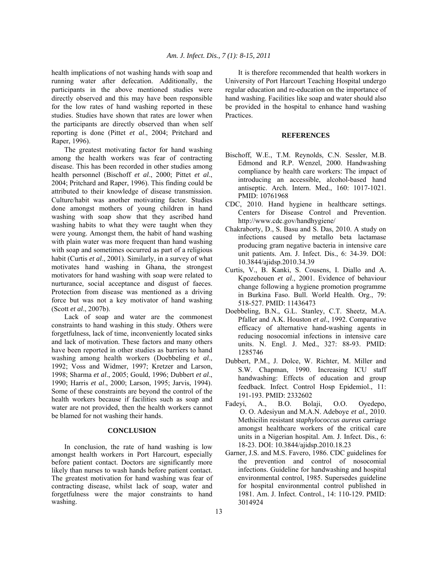health implications of not washing hands with soap and running water after defecation. Additionally, the participants in the above mentioned studies were directly observed and this may have been responsible for the low rates of hand washing reported in these studies. Studies have shown that rates are lower when the participants are directly observed than when self reporting is done (Pittet *et al*., 2004; Pritchard and Raper, 1996).

 The greatest motivating factor for hand washing among the health workers was fear of contracting disease. This has been recorded in other studies among health personnel (Bischoff *et al*., 2000; Pittet *et al*., 2004; Pritchard and Raper, 1996). This finding could be attributed to their knowledge of disease transmission. Culture/habit was another motivating factor. Studies done amongst mothers of young children in hand washing with soap show that they ascribed hand washing habits to what they were taught when they were young. Amongst them, the habit of hand washing with plain water was more frequent than hand washing with soap and sometimes occurred as part of a religious habit (Curtis *et al*., 2001). Similarly, in a survey of what motivates hand washing in Ghana, the strongest motivators for hand washing with soap were related to nurturance, social acceptance and disgust of faeces. Protection from disease was mentioned as a driving force but was not a key motivator of hand washing (Scott *et al*., 2007b).

 Lack of soap and water are the commonest constraints to hand washing in this study. Others were forgetfulness, lack of time, inconveniently located sinks and lack of motivation. These factors and many others have been reported in other studies as barriers to hand washing among health workers (Doebbeling *et al*., 1992; Voss and Widmer, 1997; Kretzer and Larson, 1998; Sharma *et al*., 2005; Gould, 1996; Dubbert *et al*., 1990; Harris *et al*., 2000; Larson, 1995; Jarvis, 1994). Some of these constraints are beyond the control of the health workers because if facilities such as soap and water are not provided, then the health workers cannot be blamed for not washing their hands.

## **CONCLUSION**

 In conclusion, the rate of hand washing is low amongst health workers in Port Harcourt, especially before patient contact. Doctors are significantly more likely than nurses to wash hands before patient contact. The greatest motivation for hand washing was fear of contracting disease, whilst lack of soap, water and forgetfulness were the major constraints to hand washing.

 It is therefore recommended that health workers in University of Port Harcourt Teaching Hospital undergo regular education and re-education on the importance of hand washing. Facilities like soap and water should also be provided in the hospital to enhance hand washing Practices.

## **REFERENCES**

- Bischoff, W.E., T.M. Reynolds, C.N. Sessler, M.B. Edmond and R.P. Wenzel, 2000. Handwashing compliance by health care workers: The impact of introducing an accessible, alcohol-based hand antiseptic. Arch. Intern. Med., 160: 1017-1021. PMID: 10761968
- CDC, 2010. Hand hygiene in healthcare settings. Centers for Disease Control and Prevention. http://www.cdc.gov/handhygiene/
- Chakraborty, D., S. Basu and S. Das, 2010. A study on infections caused by metallo beta lactamase producing gram negative bacteria in intensive care unit patients. Am. J. Infect. Dis., 6: 34-39. DOI: 10.3844/ajidsp.2010.34.39
- Curtis, V., B. Kanki, S. Cousens, I. Diallo and A. Kpozehouen *et al*., 2001. Evidence of behaviour change following a hygiene promotion programme in Burkina Faso. Bull. World Health. Org., 79: 518-527. PMID: 11436473
- Doebbeling, B.N., G.L. Stanley, C.T. Sheetz, M.A. Pfaller and A.K. Houston *et al*., 1992. Comparative efficacy of alternative hand-washing agents in reducing nosocomial infections in intensive care units. N. Engl. J. Med., 327: 88-93. PMID: 1285746
- Dubbert, P.M., J. Dolce, W. Richter, M. Miller and S.W. Chapman, 1990. Increasing ICU staff handwashing: Effects of education and group feedback. Infect. Control Hosp Epidemiol., 11: 191-193. PMID: 2332602
- Fadeyi, A., B.O. Bolaji, O.O. Oyedepo, O. O. Adesiyun and M.A.N. Adeboye *et al.,* 2010. Methicilin resistant *staphylococcus aureus* carriage amongst healthcare workers of the critical care units in a Nigerian hospital. Am. J. Infect. Dis., 6: 18-23. DOI: 10.3844/ajidsp.2010.18.23
- Garner, J.S. and M.S. Favero, 1986. CDC guidelines for the prevention and control of nosocomial infections. Guideline for handwashing and hospital environmental control, 1985. Supersedes guideline for hospital environmental control published in 1981. Am. J. Infect. Control., 14: 110-129. PMID: 3014924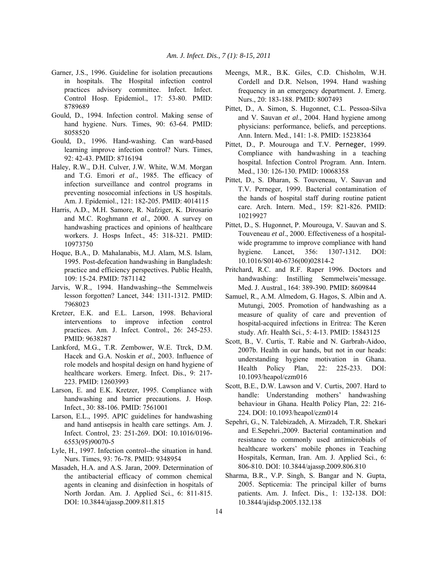- Garner, J.S., 1996. Guideline for isolation precautions in hospitals. The Hospital infection control practices advisory committee. Infect. Infect. Control Hosp. Epidemiol., 17: 53-80. PMID: 8789689
- Gould, D., 1994. Infection control. Making sense of hand hygiene. Nurs. Times, 90: 63-64. PMID: 8058520
- Gould, D., 1996. Hand-washing. Can ward-based learning improve infection control? Nurs. Times, 92: 42-43. PMID: 8716194
- Haley, R.W., D.H. Culver, J.W. White, W.M. Morgan and T.G. Emori *et al*., 1985. The efficacy of infection surveillance and control programs in preventing nosocomial infections in US hospitals. Am. J. Epidemiol., 121: 182-205. PMID: 4014115
- Harris, A.D., M.H. Samore, R. Nafziger, K. Dirosario and M.C. Roghmann *et al*., 2000. A survey on handwashing practices and opinions of healthcare workers. J. Hosps Infect., 45: 318-321. PMID: 10973750
- Hoque, B.A., D. Mahalanabis, M.J. Alam, M.S. Islam, 1995. Post-defecation handwashing in Bangladesh: practice and efficiency perspectives. Public Health, 109: 15-24. PMID: 7871142
- Jarvis, W.R., 1994. Handwashing--the Semmelweis lesson forgotten? Lancet, 344: 1311-1312. PMID: 7968023
- Kretzer, E.K. and E.L. Larson, 1998. Behavioral interventions to improve infection control practices. Am. J. Infect. Control., 26: 245-253. PMID: 9638287
- Lankford, M.G., T.R. Zembower, W.E. Ttrck, D.M. Hacek and G.A. Noskin *et al*., 2003. Influence of role models and hospital design on hand hygiene of healthcare workers. Emerg. Infect. Dis., 9: 217- 223. PMID: 12603993
- Larson, E. and E.K. Kretzer, 1995. Compliance with handwashing and barrier precautions. J. Hosp. Infect., 30: 88-106. PMID: 7561001
- Larson, E.L., 1995. APIC guidelines for handwashing and hand antisepsis in health care settings. Am. J. Infect. Control, 23: 251-269. DOI: 10.1016/0196- 6553(95)90070-5
- Lyle, H., 1997. Infection control--the situation in hand. Nurs. Times, 93: 76-78. PMID: 9348954
- Masadeh, H.A. and A.S. Jaran, 2009. Determination of the antibacterial efficacy of common chemical agents in cleaning and disinfection in hospitals of North Jordan. Am. J. Applied Sci., 6: 811-815. DOI: 10.3844/ajassp.2009.811.815
- Meengs, M.R., B.K. Giles, C.D. Chisholm, W.H. Cordell and D.R. Nelson, 1994. Hand washing frequency in an emergency department. J. Emerg. Nurs., 20: 183-188. PMID: 8007493
- Pittet, D., A. Simon, S. Hugonnet, C.L. Pessoa-Silva and V. Sauvan *et al*., 2004. Hand hygiene among physicians: performance, beliefs, and perceptions. Ann. Intern. Med., 141: 1-8. PMID: 15238364
- Pittet, D., P. Mourouga and T.V. Perneger, 1999. Compliance with handwashing in a teaching hospital. Infection Control Program. Ann. Intern. Med., 130: 126-130. PMID: 10068358
- Pittet, D., S. Dharan, S. Touveneau, V. Sauvan and T.V. Perneger, 1999. Bacterial contamination of the hands of hospital staff during routine patient care. Arch. Intern. Med., 159: 821-826. PMID: 10219927
- Pittet, D., S. Hugonnet, P. Mourouga, V. Sauvan and S. Touveneau *et al*., 2000. Effectiveness of a hospitalwide programme to improve compliance with hand hygiene. Lancet, 356: 1307-1312. DOI: 10.1016/S0140-6736(00)02814-2
- Pritchard, R.C. and R.F. Raper 1996. Doctors and handwashing: Instilling Semmelweis'message. Med. J. Austral., 164: 389-390. PMID: 8609844
- Samuel, R., A.M. Almedom, G. Hagos, S. Albin and A. Mutungi, 2005. Promotion of handwashing as a measure of quality of care and prevention of hospital-acquired infections in Eritrea: The Keren study. Afr. Health Sci., 5: 4-13. PMID: 15843125
- Scott, B., V. Curtis, T. Rabie and N. Garbrah-Aidoo, 2007b. Health in our hands, but not in our heads: understanding hygiene motivation in Ghana. Health Policy Plan, 22: 225-233. DOI: 10.1093/heapol/czm016
- Scott, B.E., D.W. Lawson and V. Curtis, 2007. Hard to handle: Understanding mothers' handwashing behaviour in Ghana. Health Policy Plan, 22: 216- 224. DOI: 10.1093/heapol/czm014
- Sepehri, G., N. Talebizadeh, A. Mirzadeh, T.R. Shekari and E.Sepehri.,2009. Bacterial contamination and resistance to commonly used antimicrobials of healthcare workers' mobile phones in Teaching Hospitals, Kerman, Iran. Am. J. Applied Sci., 6: 806-810. DOI: 10.3844/ajassp.2009.806.810
- Sharma, B.R., V.P. Singh, S. Bangar and N. Gupta, 2005. Septicemia: The principal killer of burns patients. Am. J. Infect. Dis., 1: 132-138. DOI: 10.3844/ajidsp.2005.132.138